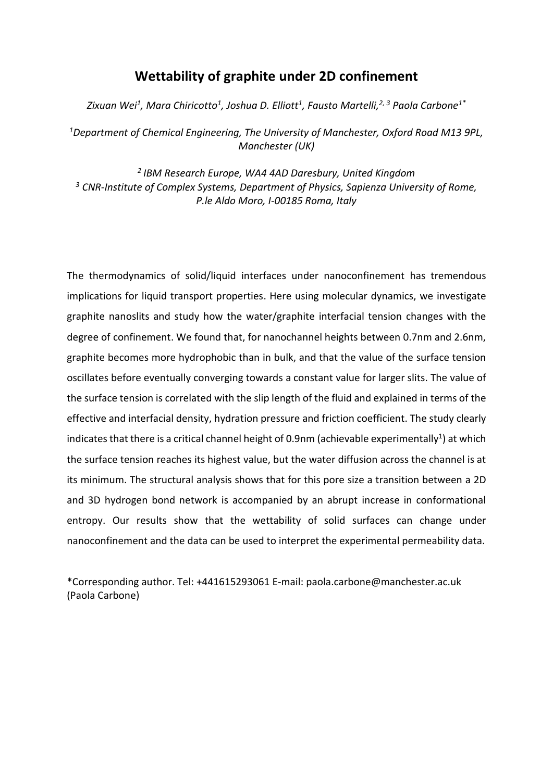# **Wettability of graphite under 2D confinement**

*Zixuan Wei<sup>1</sup> , Mara Chiricotto<sup>1</sup> , Joshua D. Elliott<sup>1</sup> , Fausto Martelli,2, 3 Paola Carbone1\**

*<sup>1</sup>Department of Chemical Engineering, The University of Manchester, Oxford Road M13 9PL, Manchester (UK)*

*2 IBM Research Europe, WA4 4AD Daresbury, United Kingdom <sup>3</sup> CNR-Institute of Complex Systems, Department of Physics, Sapienza University of Rome, P.le Aldo Moro, I-00185 Roma, Italy*

The thermodynamics of solid/liquid interfaces under nanoconfinement has tremendous implications for liquid transport properties. Here using molecular dynamics, we investigate graphite nanoslits and study how the water/graphite interfacial tension changes with the degree of confinement. We found that, for nanochannel heights between 0.7nm and 2.6nm, graphite becomes more hydrophobic than in bulk, and that the value of the surface tension oscillates before eventually converging towards a constant value for larger slits. The value of the surface tension is correlated with the slip length of the fluid and explained in terms of the effective and interfacial density, hydration pressure and friction coefficient. The study clearly indicates that there is a critical channel height of 0.9nm (achievable experimentally<sup>1</sup>) at which the surface tension reaches its highest value, but the water diffusion across the channel is at its minimum. The structural analysis shows that for this pore size a transition between a 2D and 3D hydrogen bond network is accompanied by an abrupt increase in conformational entropy. Our results show that the wettability of solid surfaces can change under nanoconfinement and the data can be used to interpret the experimental permeability data.

\*Corresponding author. Tel: +441615293061 E-mail: paola.carbone@manchester.ac.uk (Paola Carbone)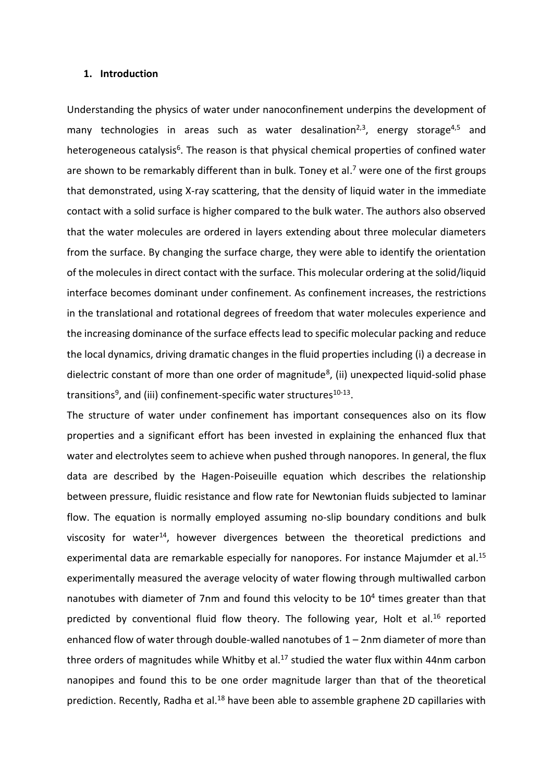#### **1. Introduction**

Understanding the physics of water under nanoconfinement underpins the development of many technologies in areas such as water desalination<sup>2,3</sup>, energy storage<sup>4,5</sup> and heterogeneous catalysis<sup>6</sup>. The reason is that physical chemical properties of confined water are shown to be remarkably different than in bulk. Toney et al.<sup>7</sup> were one of the first groups that demonstrated, using X-ray scattering, that the density of liquid water in the immediate contact with a solid surface is higher compared to the bulk water. The authors also observed that the water molecules are ordered in layers extending about three molecular diameters from the surface. By changing the surface charge, they were able to identify the orientation of the molecules in direct contact with the surface. This molecular ordering at the solid/liquid interface becomes dominant under confinement. As confinement increases, the restrictions in the translational and rotational degrees of freedom that water molecules experience and the increasing dominance of the surface effectslead to specific molecular packing and reduce the local dynamics, driving dramatic changes in the fluid properties including (i) a decrease in dielectric constant of more than one order of magnitude<sup>8</sup>, (ii) unexpected liquid-solid phase transitions<sup>9</sup>, and (iii) confinement-specific water structures<sup>10-13</sup>.

The structure of water under confinement has important consequences also on its flow properties and a significant effort has been invested in explaining the enhanced flux that water and electrolytes seem to achieve when pushed through nanopores. In general, the flux data are described by the Hagen-Poiseuille equation which describes the relationship between pressure, fluidic resistance and flow rate for Newtonian fluids subjected to laminar flow. The equation is normally employed assuming no-slip boundary conditions and bulk viscosity for water<sup>14</sup>, however divergences between the theoretical predictions and experimental data are remarkable especially for nanopores. For instance Majumder et al.<sup>15</sup> experimentally measured the average velocity of water flowing through multiwalled carbon nanotubes with diameter of 7nm and found this velocity to be 10<sup>4</sup> times greater than that predicted by conventional fluid flow theory. The following year, Holt et al.<sup>16</sup> reported enhanced flow of water through double-walled nanotubes of 1 – 2nm diameter of more than three orders of magnitudes while Whitby et al.<sup>17</sup> studied the water flux within 44nm carbon nanopipes and found this to be one order magnitude larger than that of the theoretical prediction. Recently, Radha et al.<sup>18</sup> have been able to assemble graphene 2D capillaries with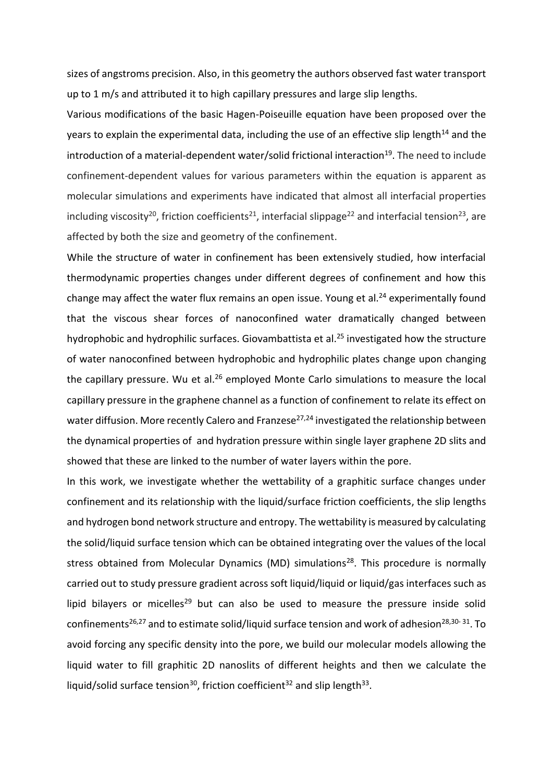sizes of angstroms precision. Also, in this geometry the authors observed fast water transport up to 1 m/s and attributed it to high capillary pressures and large slip lengths.

Various modifications of the basic Hagen-Poiseuille equation have been proposed over the years to explain the experimental data, including the use of an effective slip length $14$  and the introduction of a material-dependent water/solid frictional interaction<sup>19</sup>. The need to include confinement-dependent values for various parameters within the equation is apparent as molecular simulations and experiments have indicated that almost all interfacial properties including viscosity<sup>20</sup>, friction coefficients<sup>21</sup>, interfacial slippage<sup>22</sup> and interfacial tension<sup>23</sup>, are affected by both the size and geometry of the confinement.

While the structure of water in confinement has been extensively studied, how interfacial thermodynamic properties changes under different degrees of confinement and how this change may affect the water flux remains an open issue. Young et al.<sup>24</sup> experimentally found that the viscous shear forces of nanoconfined water dramatically changed between hydrophobic and hydrophilic surfaces. Giovambattista et al. <sup>25</sup> investigated how the structure of water nanoconfined between hydrophobic and hydrophilic plates change upon changing the capillary pressure. Wu et al.<sup>26</sup> employed Monte Carlo simulations to measure the local capillary pressure in the graphene channel as a function of confinement to relate its effect on water diffusion. More recently Calero and Franzese<sup>27,24</sup> investigated the relationship between the dynamical properties of and hydration pressure within single layer graphene 2D slits and showed that these are linked to the number of water layers within the pore.

In this work, we investigate whether the wettability of a graphitic surface changes under confinement and its relationship with the liquid/surface friction coefficients, the slip lengths and hydrogen bond network structure and entropy. The wettability is measured by calculating the solid/liquid surface tension which can be obtained integrating over the values of the local stress obtained from Molecular Dynamics (MD) simulations<sup>28</sup>. This procedure is normally carried out to study pressure gradient across soft liquid/liquid or liquid/gas interfaces such as lipid bilayers or micelles<sup>29</sup> but can also be used to measure the pressure inside solid confinements<sup>26,27</sup> and to estimate solid/liquid surface tension and work of adhesion<sup>28,30-31</sup>. To avoid forcing any specific density into the pore, we build our molecular models allowing the liquid water to fill graphitic 2D nanoslits of different heights and then we calculate the liquid/solid surface tension<sup>30</sup>, friction coefficient<sup>32</sup> and slip length<sup>33</sup>.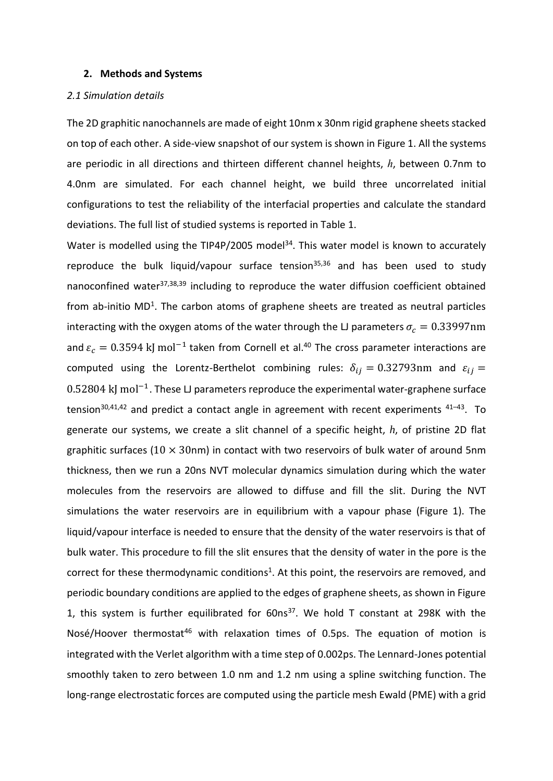#### **2. Methods and Systems**

#### *2.1 Simulation details*

The 2D graphitic nanochannels are made of eight 10nm x 30nm rigid graphene sheets stacked on top of each other. A side-view snapshot of our system is shown in Figure 1. All the systems are periodic in all directions and thirteen different channel heights, *h*, between 0.7nm to 4.0nm are simulated. For each channel height, we build three uncorrelated initial configurations to test the reliability of the interfacial properties and calculate the standard deviations. The full list of studied systems is reported in Table 1.

Water is modelled using the TIP4P/2005 model<sup>34</sup>. This water model is known to accurately reproduce the bulk liquid/vapour surface tension $35,36$  and has been used to study nanoconfined water<sup>37,38,39</sup> including to reproduce the water diffusion coefficient obtained from ab-initio  $MD<sup>1</sup>$ . The carbon atoms of graphene sheets are treated as neutral particles interacting with the oxygen atoms of the water through the LJ parameters  $\sigma_c = 0.33997$ nm and  $\varepsilon_c = 0.3594$  kJ mol<sup>-1</sup> taken from Cornell et al.<sup>40</sup> The cross parameter interactions are computed using the Lorentz-Berthelot combining rules:  $\delta_{ij} = 0.32793$ nm and  $\varepsilon_{ij} =$ 0.52804 kJ mol<sup>-1</sup>. These LJ parameters reproduce the experimental water-graphene surface tension<sup>30,41,42</sup> and predict a contact angle in agreement with recent experiments <sup>41-43</sup>. To generate our systems, we create a slit channel of a specific height, *h*, of pristine 2D flat graphitic surfaces ( $10 \times 30$ nm) in contact with two reservoirs of bulk water of around 5nm thickness, then we run a 20ns NVT molecular dynamics simulation during which the water molecules from the reservoirs are allowed to diffuse and fill the slit. During the NVT simulations the water reservoirs are in equilibrium with a vapour phase (Figure 1). The liquid/vapour interface is needed to ensure that the density of the water reservoirs is that of bulk water. This procedure to fill the slit ensures that the density of water in the pore is the correct for these thermodynamic conditions<sup>1</sup>. At this point, the reservoirs are removed, and periodic boundary conditions are applied to the edges of graphene sheets, as shown in Figure 1, this system is further equilibrated for  $60ns^{37}$ . We hold T constant at 298K with the Nosé/Hoover thermostat<sup>46</sup> with relaxation times of 0.5ps. The equation of motion is integrated with the Verlet algorithm with a time step of 0.002ps. The Lennard-Jones potential smoothly taken to zero between 1.0 nm and 1.2 nm using a spline switching function. The long-range electrostatic forces are computed using the particle mesh Ewald (PME) with a grid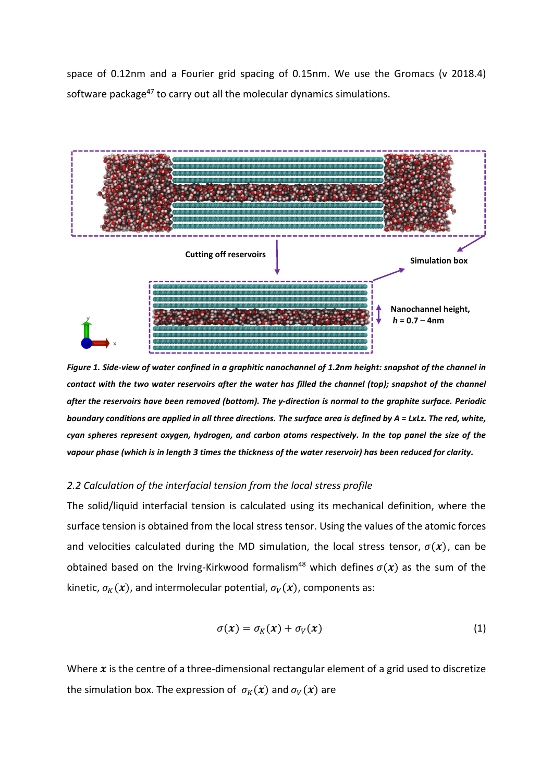space of 0.12nm and a Fourier grid spacing of 0.15nm. We use the Gromacs (v 2018.4) software package<sup>47</sup> to carry out all the molecular dynamics simulations.



*Figure 1. Side-view of water confined in a graphitic nanochannel of 1.2nm height: snapshot of the channel in contact with the two water reservoirs after the water has filled the channel (top); snapshot of the channel after the reservoirs have been removed (bottom). The y-direction is normal to the graphite surface. Periodic boundary conditions are applied in all three directions. The surface area is defined by A = LxLz. The red, white, cyan spheres represent oxygen, hydrogen, and carbon atoms respectively. In the top panel the size of the vapour phase (which is in length 3 times the thickness of the water reservoir) has been reduced for clarity.* 

### *2.2 Calculation of the interfacial tension from the local stress profile*

The solid/liquid interfacial tension is calculated using its mechanical definition, where the surface tension is obtained from the local stress tensor. Using the values of the atomic forces and velocities calculated during the MD simulation, the local stress tensor,  $\sigma(x)$ , can be obtained based on the Irving-Kirkwood formalism<sup>48</sup> which defines  $\sigma(x)$  as the sum of the kinetic,  $\sigma_K(x)$ , and intermolecular potential,  $\sigma_V(x)$ , components as:

$$
\sigma(x) = \sigma_K(x) + \sigma_V(x) \tag{1}
$$

Where  $x$  is the centre of a three-dimensional rectangular element of a grid used to discretize the simulation box. The expression of  $\sigma_K(x)$  and  $\sigma_V(x)$  are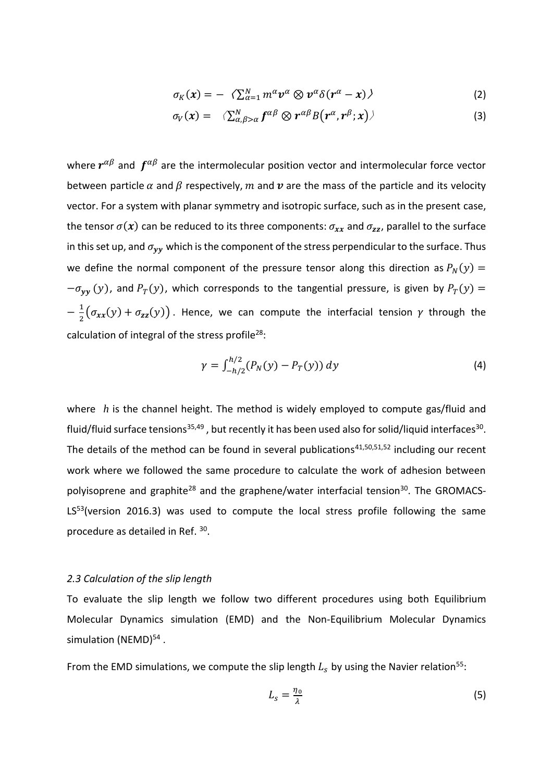$$
\sigma_K(x) = -\langle \sum_{\alpha=1}^N m^\alpha v^\alpha \otimes v^\alpha \delta(r^\alpha - x) \rangle \tag{2}
$$

$$
\sigma_V(x) = \langle \sum_{\alpha,\beta>\alpha}^N f^{\alpha\beta} \otimes r^{\alpha\beta} B(r^{\alpha},r^{\beta};x) \rangle \qquad (3)
$$

where  $r^{\alpha\beta}$  and  $f^{\alpha\beta}$  are the intermolecular position vector and intermolecular force vector between particle  $\alpha$  and  $\beta$  respectively, m and  $\upsilon$  are the mass of the particle and its velocity vector. For a system with planar symmetry and isotropic surface, such as in the present case, the tensor  $\sigma(x)$  can be reduced to its three components:  $\sigma_{xx}$  and  $\sigma_{zz}$ , parallel to the surface in this set up, and  $\sigma_{yy}$  which is the component of the stress perpendicular to the surface. Thus we define the normal component of the pressure tensor along this direction as  $P_N(y) =$  $-\sigma_{yy}(y)$ , and  $P_T(y)$ , which corresponds to the tangential pressure, is given by  $P_T(y)$  =  $-\frac{1}{2}$  $\frac{1}{2}(\sigma_{xx}(y) + \sigma_{zz}(y))$ . Hence, we can compute the interfacial tension  $\gamma$  through the calculation of integral of the stress profile<sup>28</sup>:

$$
\gamma = \int_{-h/2}^{h/2} (P_N(y) - P_T(y)) \, dy \tag{4}
$$

where *h* is the channel height. The method is widely employed to compute gas/fluid and fluid/fluid surface tensions<sup>35,49</sup>, but recently it has been used also for solid/liquid interfaces<sup>30</sup>. The details of the method can be found in several publications<sup>41,50,51,52</sup> including our recent work where we followed the same procedure to calculate the work of adhesion between polyisoprene and graphite<sup>28</sup> and the graphene/water interfacial tension<sup>30</sup>. The GROMACS-LS<sup>53</sup>(version 2016.3) was used to compute the local stress profile following the same procedure as detailed in Ref. 30.

### *2.3 Calculation of the slip length*

To evaluate the slip length we follow two different procedures using both Equilibrium Molecular Dynamics simulation (EMD) and the Non-Equilibrium Molecular Dynamics simulation (NEMD)<sup>54</sup>.

From the EMD simulations, we compute the slip length  $L_s$  by using the Navier relation<sup>55</sup>:

$$
L_s = \frac{\eta_0}{\lambda} \tag{5}
$$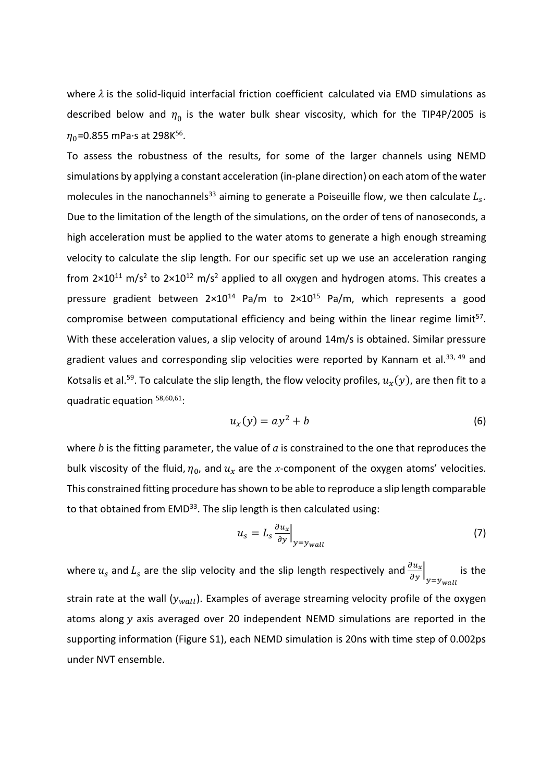where  $\lambda$  is the solid-liquid interfacial friction coefficient calculated via EMD simulations as described below and  $\eta_0$  is the water bulk shear viscosity, which for the TIP4P/2005 is  $\eta_{0}$ =0.855 mPa·s at 298K $^{56}$ .

To assess the robustness of the results, for some of the larger channels using NEMD simulations by applying a constant acceleration (in-plane direction) on each atom of the water molecules in the nanochannels<sup>33</sup> aiming to generate a Poiseuille flow, we then calculate  $L_s$ . Due to the limitation of the length of the simulations, on the order of tens of nanoseconds, a high acceleration must be applied to the water atoms to generate a high enough streaming velocity to calculate the slip length. For our specific set up we use an acceleration ranging from  $2\times10^{11}$  m/s<sup>2</sup> to  $2\times10^{12}$  m/s<sup>2</sup> applied to all oxygen and hydrogen atoms. This creates a pressure gradient between  $2 \times 10^{14}$  Pa/m to  $2 \times 10^{15}$  Pa/m, which represents a good compromise between computational efficiency and being within the linear regime limit<sup>57</sup>. With these acceleration values, a slip velocity of around 14m/s is obtained. Similar pressure gradient values and corresponding slip velocities were reported by Kannam et al. $^{33, 49}$  and Kotsalis et al.<sup>59</sup>. To calculate the slip length, the flow velocity profiles,  $u_x(y)$ , are then fit to a quadratic equation 58,60,61:

$$
u_x(y) = ay^2 + b \tag{6}
$$

where *b* is the fitting parameter, the value of *a* is constrained to the one that reproduces the bulk viscosity of the fluid,  $\eta_0$ , and  $u_x$  are the *x*-component of the oxygen atoms' velocities. This constrained fitting procedure has shown to be able to reproduce a slip length comparable to that obtained from EMD<sup>33</sup>. The slip length is then calculated using:

$$
u_s = L_s \frac{\partial u_x}{\partial y}\Big|_{y=y_{wall}}
$$
 (7)

where  $u_s$  and  $L_s$  are the slip velocity and the slip length respectively and  $\frac{\partial u_x}{\partial y}\Big|_{y=y_{wall}}$ is the strain rate at the wall  $(y_{wall})$ . Examples of average streaming velocity profile of the oxygen atoms along  $y$  axis averaged over 20 independent NEMD simulations are reported in the supporting information (Figure S1), each NEMD simulation is 20ns with time step of 0.002ps under NVT ensemble.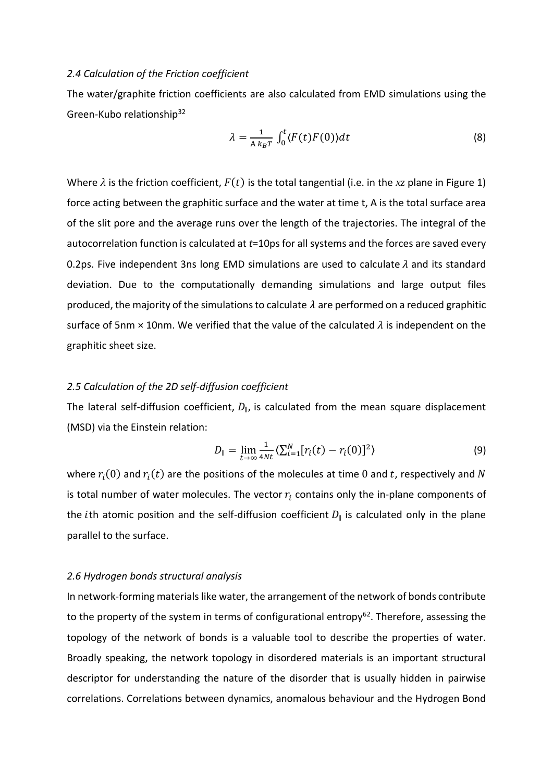#### *2.4 Calculation of the Friction coefficient*

The water/graphite friction coefficients are also calculated from EMD simulations using the Green-Kubo relationship<sup>32</sup>

$$
\lambda = \frac{1}{A k_B T} \int_0^t \langle F(t) F(0) \rangle dt \tag{8}
$$

Where  $\lambda$  is the friction coefficient,  $F(t)$  is the total tangential (i.e. in the xz plane in Figure 1) force acting between the graphitic surface and the water at time t, A is the total surface area of the slit pore and the average runs over the length of the trajectories. The integral of the autocorrelation function is calculated at *t*=10ps for all systems and the forces are saved every 0.2ps. Five independent 3ns long EMD simulations are used to calculate  $\lambda$  and its standard deviation. Due to the computationally demanding simulations and large output files produced, the majority of the simulations to calculate  $\lambda$  are performed on a reduced graphitic surface of 5nm  $\times$  10nm. We verified that the value of the calculated  $\lambda$  is independent on the graphitic sheet size.

# *2.5 Calculation of the 2D self-diffusion coefficient*

The lateral self-diffusion coefficient,  $D_{\parallel}$ , is calculated from the mean square displacement (MSD) via the Einstein relation:

$$
D_{\parallel} = \lim_{t \to \infty} \frac{1}{4Nt} \langle \sum_{i=1}^{N} [r_i(t) - r_i(0)]^2 \rangle \tag{9}
$$

where  $r_i(0)$  and  $r_i(t)$  are the positions of the molecules at time 0 and t, respectively and N is total number of water molecules. The vector  $r_i$  contains only the in-plane components of the *i*th atomic position and the self-diffusion coefficient  $D_{\parallel}$  is calculated only in the plane parallel to the surface.

# *2.6 Hydrogen bonds structural analysis*

In network-forming materials like water, the arrangement of the network of bonds contribute to the property of the system in terms of configurational entropy<sup>62</sup>. Therefore, assessing the topology of the network of bonds is a valuable tool to describe the properties of water. Broadly speaking, the network topology in disordered materials is an important structural descriptor for understanding the nature of the disorder that is usually hidden in pairwise correlations. Correlations between dynamics, anomalous behaviour and the Hydrogen Bond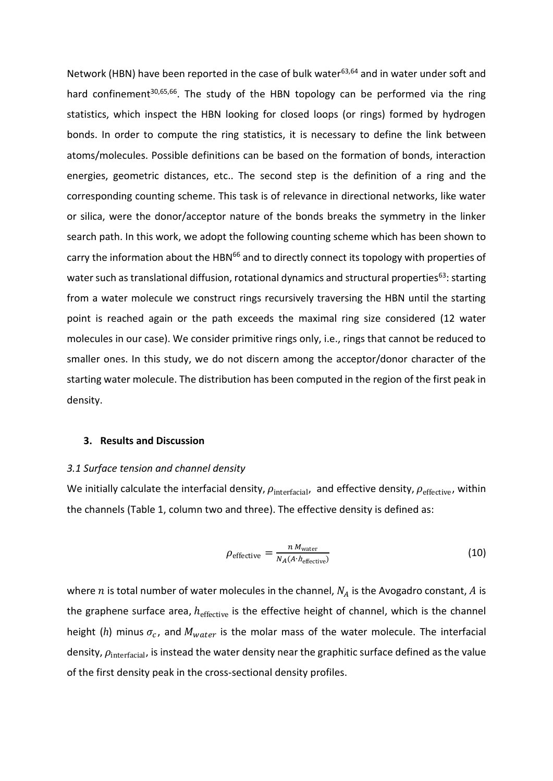Network (HBN) have been reported in the case of bulk water $63,64$  and in water under soft and hard confinement<sup>30,65,66</sup>. The study of the HBN topology can be performed via the ring statistics, which inspect the HBN looking for closed loops (or rings) formed by hydrogen bonds. In order to compute the ring statistics, it is necessary to define the link between atoms/molecules. Possible definitions can be based on the formation of bonds, interaction energies, geometric distances, etc.. The second step is the definition of a ring and the corresponding counting scheme. This task is of relevance in directional networks, like water or silica, were the donor/acceptor nature of the bonds breaks the symmetry in the linker search path. In this work, we adopt the following counting scheme which has been shown to carry the information about the HBN<sup>66</sup> and to directly connect its topology with properties of water such as translational diffusion, rotational dynamics and structural properties<sup>63</sup>: starting from a water molecule we construct rings recursively traversing the HBN until the starting point is reached again or the path exceeds the maximal ring size considered (12 water molecules in our case). We consider primitive rings only, i.e., rings that cannot be reduced to smaller ones. In this study, we do not discern among the acceptor/donor character of the starting water molecule. The distribution has been computed in the region of the first peak in density.

# **3. Results and Discussion**

#### *3.1 Surface tension and channel density*

We initially calculate the interfacial density,  $\rho_{\rm interfacial}$ , and effective density,  $\rho_{\rm effective}$ , within the channels (Table 1, column two and three). The effective density is defined as:

$$
\rho_{\text{effective}} = \frac{n \, M_{\text{water}}}{N_A (A \cdot h_{\text{effective}})}
$$
(10)

where  $n$  is total number of water molecules in the channel,  $N_A$  is the Avogadro constant,  $A$  is the graphene surface area,  $h_{\text{effective}}$  is the effective height of channel, which is the channel height (h) minus  $\sigma_c$ , and  $M_{water}$  is the molar mass of the water molecule. The interfacial density,  $\rho_{\text{interfacial}}$ , is instead the water density near the graphitic surface defined as the value of the first density peak in the cross-sectional density profiles.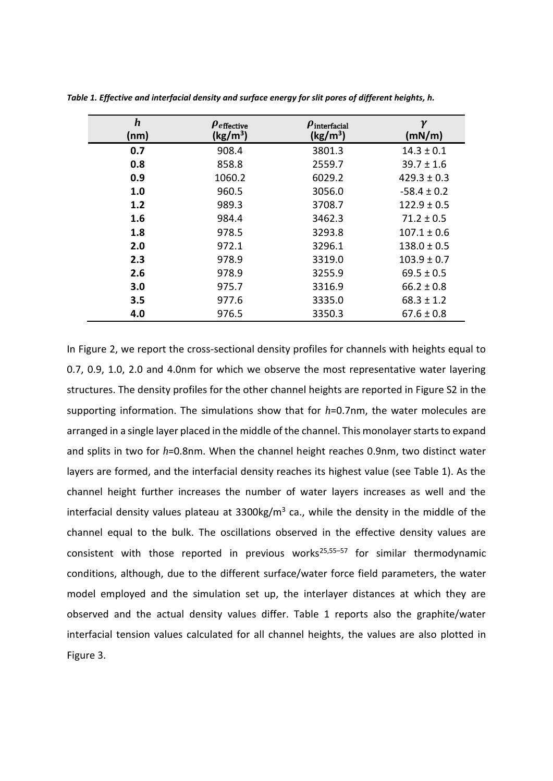| $\boldsymbol{h}$<br>(nm) | $\boldsymbol{\rho}_{\text{effective}}$<br>(kg/m <sup>3</sup> ) | $\boldsymbol{\mu}$ interfacial<br>(kg/m <sup>3</sup> ) | $\gamma$<br>(mN/m) |
|--------------------------|----------------------------------------------------------------|--------------------------------------------------------|--------------------|
| 0.7                      | 908.4                                                          | 3801.3                                                 | $14.3 \pm 0.1$     |
| 0.8                      | 858.8                                                          | 2559.7                                                 | $39.7 \pm 1.6$     |
| 0.9                      | 1060.2                                                         | 6029.2                                                 | $429.3 \pm 0.3$    |
| 1.0                      | 960.5                                                          | 3056.0                                                 | $-58.4 \pm 0.2$    |
| 1.2                      | 989.3                                                          | 3708.7                                                 | $122.9 \pm 0.5$    |
| 1.6                      | 984.4                                                          | 3462.3                                                 | $71.2 \pm 0.5$     |
| 1.8                      | 978.5                                                          | 3293.8                                                 | $107.1 \pm 0.6$    |
| 2.0                      | 972.1                                                          | 3296.1                                                 | $138.0 \pm 0.5$    |
| 2.3                      | 978.9                                                          | 3319.0                                                 | $103.9 \pm 0.7$    |
| 2.6                      | 978.9                                                          | 3255.9                                                 | $69.5 \pm 0.5$     |
| 3.0                      | 975.7                                                          | 3316.9                                                 | $66.2 \pm 0.8$     |
| 3.5                      | 977.6                                                          | 3335.0                                                 | $68.3 \pm 1.2$     |
| 4.0                      | 976.5                                                          | 3350.3                                                 | $67.6 \pm 0.8$     |

*Table 1. Effective and interfacial density and surface energy for slit pores of different heights, h.*

In Figure 2, we report the cross-sectional density profiles for channels with heights equal to 0.7, 0.9, 1.0, 2.0 and 4.0nm for which we observe the most representative water layering structures. The density profiles for the other channel heights are reported in Figure S2 in the supporting information. The simulations show that for *h*=0.7nm, the water molecules are arranged in a single layer placed in the middle of the channel. This monolayer starts to expand and splits in two for *h*=0.8nm. When the channel height reaches 0.9nm, two distinct water layers are formed, and the interfacial density reaches its highest value (see Table 1). As the channel height further increases the number of water layers increases as well and the interfacial density values plateau at 3300kg/m<sup>3</sup> ca., while the density in the middle of the channel equal to the bulk. The oscillations observed in the effective density values are consistent with those reported in previous works<sup>25,55–57</sup> for similar thermodynamic conditions, although, due to the different surface/water force field parameters, the water model employed and the simulation set up, the interlayer distances at which they are observed and the actual density values differ. Table 1 reports also the graphite/water interfacial tension values calculated for all channel heights, the values are also plotted in Figure 3.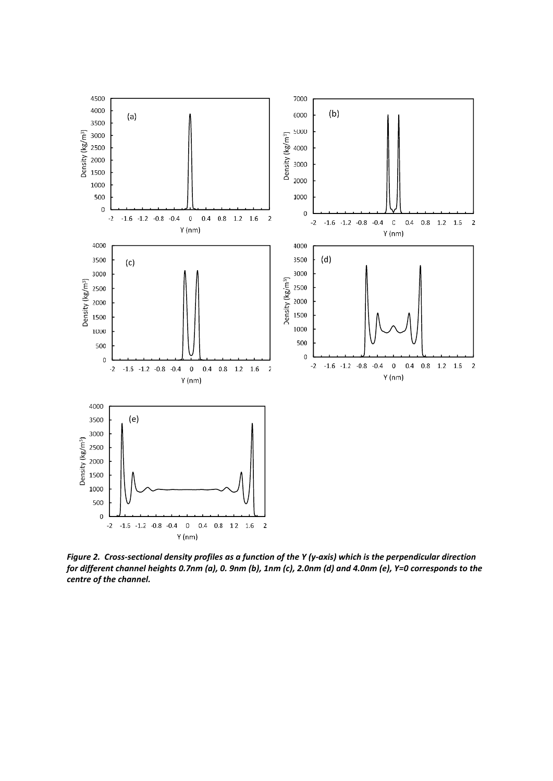

*Figure 2. Cross-sectional density profiles as a function of the Y (y-axis) which is the perpendicular direction for different channel heights 0.7nm (a), 0. 9nm (b), 1nm (c), 2.0nm (d) and 4.0nm (e), Y=0 corresponds to the centre of the channel.*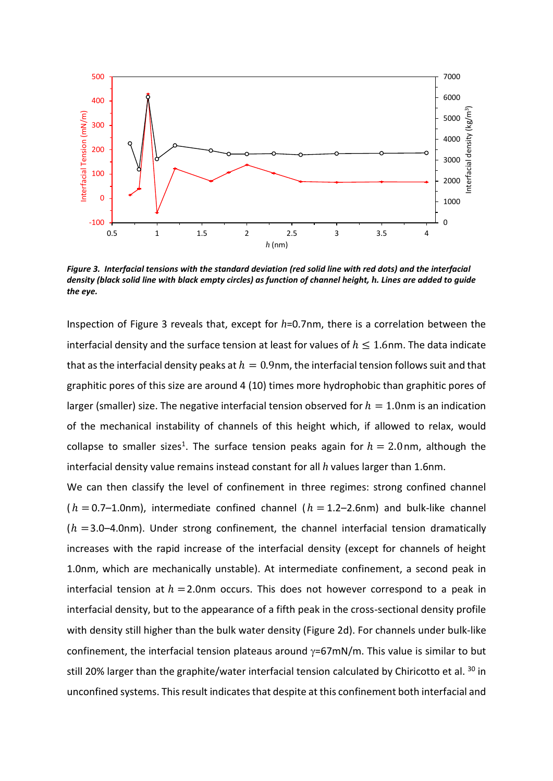

*Figure 3. Interfacial tensions with the standard deviation (red solid line with red dots) and the interfacial density (black solid line with black empty circles) as function of channel height, h. Lines are added to guide the eye.* 

Inspection of Figure 3 reveals that, except for *h*=0.7nm, there is a correlation between the interfacial density and the surface tension at least for values of  $h \leq 1.6$ nm. The data indicate that as the interfacial density peaks at  $h = 0.9$ nm, the interfacial tension follows suit and that graphitic pores of this size are around 4 (10) times more hydrophobic than graphitic pores of larger (smaller) size. The negative interfacial tension observed for  $h = 1.0$ nm is an indication of the mechanical instability of channels of this height which, if allowed to relax, would collapse to smaller sizes<sup>1</sup>. The surface tension peaks again for  $h = 2.0$  nm, although the interfacial density value remains instead constant for all *h* values larger than 1.6nm.

We can then classify the level of confinement in three regimes: strong confined channel  $(h = 0.7-1.0$ nm), intermediate confined channel  $(h = 1.2-2.6$ nm) and bulk-like channel  $(h = 3.0-4.0$ nm). Under strong confinement, the channel interfacial tension dramatically increases with the rapid increase of the interfacial density (except for channels of height 1.0nm, which are mechanically unstable). At intermediate confinement, a second peak in interfacial tension at  $h = 2.0$ nm occurs. This does not however correspond to a peak in interfacial density, but to the appearance of a fifth peak in the cross-sectional density profile with density still higher than the bulk water density (Figure 2d). For channels under bulk-like confinement, the interfacial tension plateaus around  $\gamma = 67$ mN/m. This value is similar to but still 20% larger than the graphite/water interfacial tension calculated by Chiricotto et al. <sup>30</sup> in unconfined systems. This result indicates that despite at this confinement both interfacial and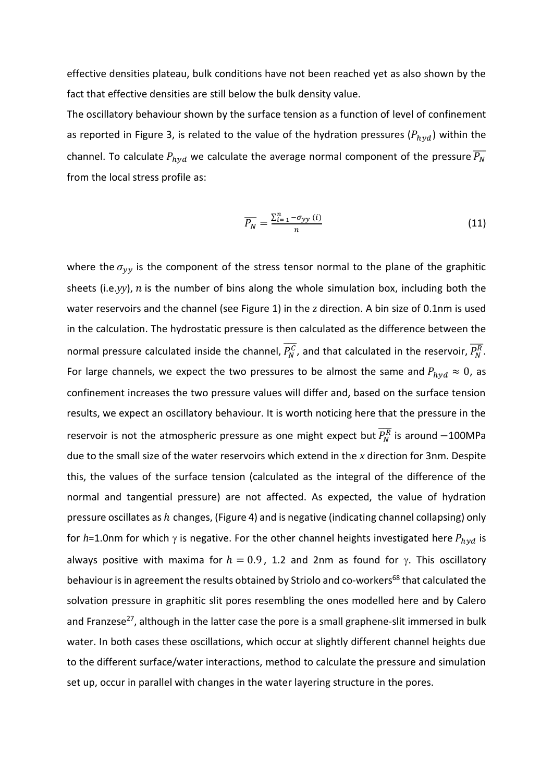effective densities plateau, bulk conditions have not been reached yet as also shown by the fact that effective densities are still below the bulk density value.

The oscillatory behaviour shown by the surface tension as a function of level of confinement as reported in Figure 3, is related to the value of the hydration pressures ( $P_{hyd}$ ) within the channel. To calculate  $P_{hyd}$  we calculate the average normal component of the pressure  $\overline{P_N}$ from the local stress profile as:

$$
\overline{P_N} = \frac{\sum_{i=1}^n -\sigma_{yy}(i)}{n} \tag{11}
$$

where the  $\sigma_{yy}$  is the component of the stress tensor normal to the plane of the graphitic sheets (i.e.yy),  $n$  is the number of bins along the whole simulation box, including both the water reservoirs and the channel (see Figure 1) in the *z* direction. A bin size of 0.1nm is used in the calculation. The hydrostatic pressure is then calculated as the difference between the normal pressure calculated inside the channel,  $\overline{P_N^C}$ , and that calculated in the reservoir,  $\overline{P_N^R}$ . For large channels, we expect the two pressures to be almost the same and  $P_{hvd} \approx 0$ , as confinement increases the two pressure values will differ and, based on the surface tension results, we expect an oscillatory behaviour. It is worth noticing here that the pressure in the reservoir is not the atmospheric pressure as one might expect but  $\overline{P_{N}^{R}}$  is around  $-100$ MPa due to the small size of the water reservoirs which extend in the *x* direction for 3nm. Despite this, the values of the surface tension (calculated as the integral of the difference of the normal and tangential pressure) are not affected. As expected, the value of hydration pressure oscillates as  $h$  changes, (Figure 4) and is negative (indicating channel collapsing) only for  $h$ =1.0nm for which  $\gamma$  is negative. For the other channel heights investigated here  $P_{hvd}$  is always positive with maxima for  $h = 0.9$ , 1.2 and 2nm as found for  $\gamma$ . This oscillatory behaviour is in agreement the results obtained by Striolo and co-workers<sup>68</sup> that calculated the solvation pressure in graphitic slit pores resembling the ones modelled here and by Calero and Franzese<sup>27</sup>, although in the latter case the pore is a small graphene-slit immersed in bulk water. In both cases these oscillations, which occur at slightly different channel heights due to the different surface/water interactions, method to calculate the pressure and simulation set up, occur in parallel with changes in the water layering structure in the pores.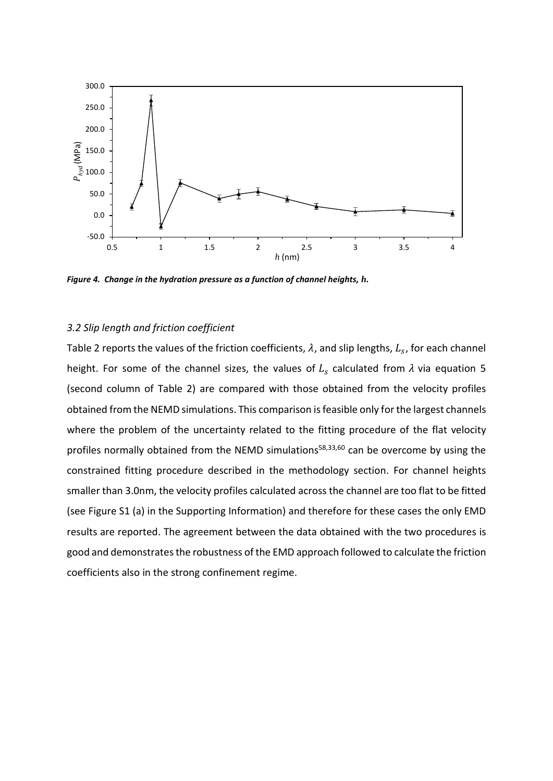

*Figure 4. Change in the hydration pressure as a function of channel heights, h.* 

#### *3.2 Slip length and friction coefficient*

Table 2 reports the values of the friction coefficients,  $\lambda$ , and slip lengths,  $L_s$ , for each channel height. For some of the channel sizes, the values of  $L_s$  calculated from  $\lambda$  via equation 5 (second column of Table 2) are compared with those obtained from the velocity profiles obtained from the NEMD simulations. This comparison is feasible only for the largest channels where the problem of the uncertainty related to the fitting procedure of the flat velocity profiles normally obtained from the NEMD simulations<sup>58,33,60</sup> can be overcome by using the constrained fitting procedure described in the methodology section. For channel heights smaller than 3.0nm, the velocity profiles calculated across the channel are too flat to be fitted (see Figure S1 (a) in the Supporting Information) and therefore for these cases the only EMD results are reported. The agreement between the data obtained with the two procedures is good and demonstrates the robustness of the EMD approach followed to calculate the friction coefficients also in the strong confinement regime.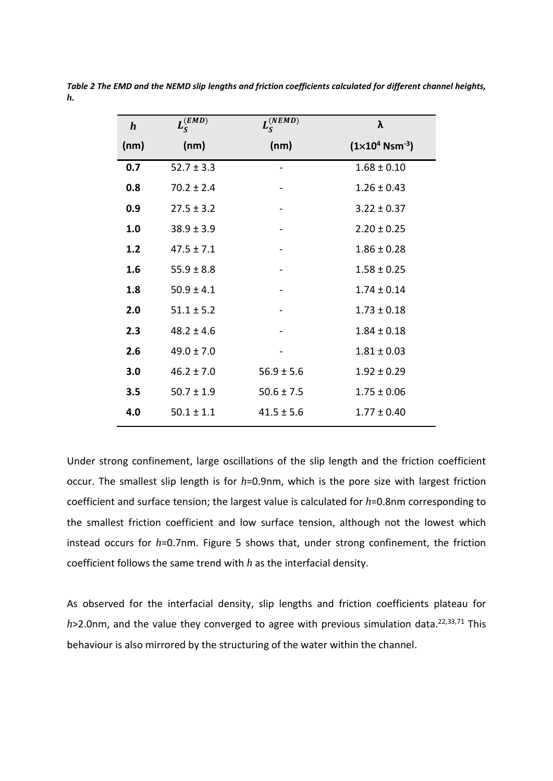| $\boldsymbol{h}$ | $L_S^{(EMD)}$  | $L_S^{(NEMD)}$ | λ                                                     |
|------------------|----------------|----------------|-------------------------------------------------------|
| (nm)             | (nm)           | (nm)           | $(1 \times 10^{4} \text{ N} \text{ s} \text{m}^{-3})$ |
| 0.7              | $52.7 \pm 3.3$ |                | $1.68 \pm 0.10$                                       |
| 0.8              | $70.2 \pm 2.4$ |                | $1.26 \pm 0.43$                                       |
| 0.9              | $27.5 \pm 3.2$ |                | $3.22 \pm 0.37$                                       |
| 1.0              | $38.9 \pm 3.9$ |                | $2.20 \pm 0.25$                                       |
| 1.2              | $47.5 \pm 7.1$ |                | $1.86 \pm 0.28$                                       |
| 1.6              | $55.9 \pm 8.8$ |                | $1.58 \pm 0.25$                                       |
| 1.8              | $50.9 \pm 4.1$ |                | $1.74 \pm 0.14$                                       |
| 2.0              | $51.1 \pm 5.2$ |                | $1.73 \pm 0.18$                                       |
| 2.3              | $48.2 \pm 4.6$ |                | $1.84 \pm 0.18$                                       |
| 2.6              | $49.0 \pm 7.0$ |                | $1.81 \pm 0.03$                                       |
| 3.0              | $46.2 \pm 7.0$ | $56.9 \pm 5.6$ | $1.92 \pm 0.29$                                       |
| 3.5              | $50.7 \pm 1.9$ | $50.6 \pm 7.5$ | $1.75 \pm 0.06$                                       |
| 4.0              | $50.1 \pm 1.1$ | $41.5 \pm 5.6$ | $1.77 \pm 0.40$                                       |

*Table 2 The EMD and the NEMD slip lengths and friction coefficients calculated for different channel heights, h.*

Under strong confinement, large oscillations of the slip length and the friction coefficient occur. The smallest slip length is for *h*=0.9nm, which is the pore size with largest friction coefficient and surface tension; the largest value is calculated for *h*=0.8nm corresponding to the smallest friction coefficient and low surface tension, although not the lowest which instead occurs for *h*=0.7nm. Figure 5 shows that, under strong confinement, the friction coefficient follows the same trend with *h* as the interfacial density.

As observed for the interfacial density, slip lengths and friction coefficients plateau for h>2.0nm, and the value they converged to agree with previous simulation data.<sup>22,33,71</sup> This behaviour is also mirrored by the structuring of the water within the channel.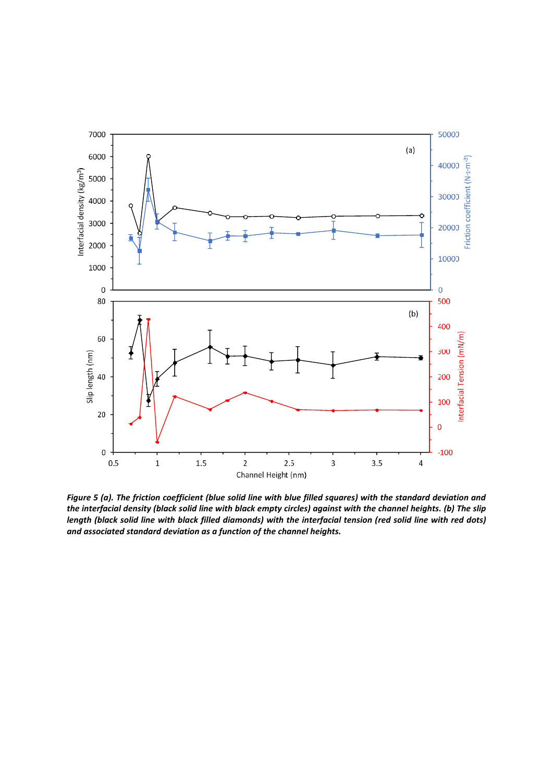

*Figure 5 (a). The friction coefficient (blue solid line with blue filled squares) with the standard deviation and the interfacial density (black solid line with black empty circles) against with the channel heights. (b) The slip length (black solid line with black filled diamonds) with the interfacial tension (red solid line with red dots) and associated standard deviation as a function of the channel heights.*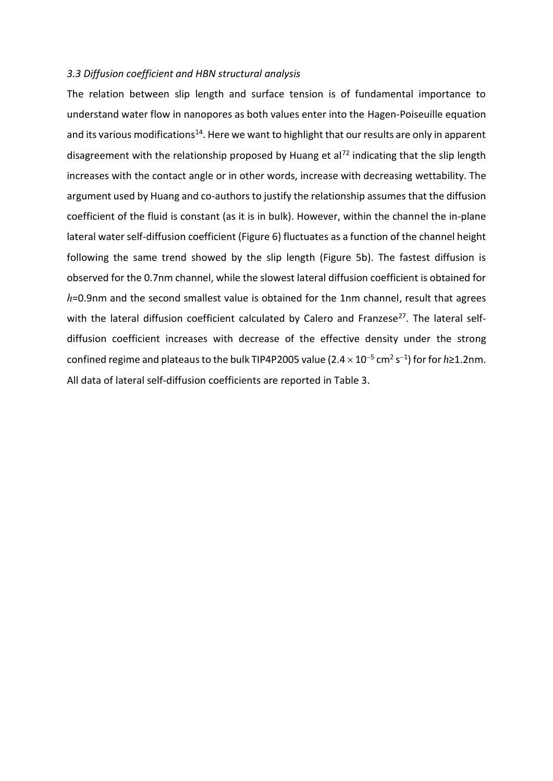### *3.3 Diffusion coefficient and HBN structural analysis*

The relation between slip length and surface tension is of fundamental importance to understand water flow in nanopores as both values enter into the Hagen-Poiseuille equation and its various modifications<sup>14</sup>. Here we want to highlight that our results are only in apparent disagreement with the relationship proposed by Huang et al<sup>72</sup> indicating that the slip length increases with the contact angle or in other words, increase with decreasing wettability. The argument used by Huang and co-authors to justify the relationship assumes that the diffusion coefficient of the fluid is constant (as it is in bulk). However, within the channel the in-plane lateral water self-diffusion coefficient (Figure 6) fluctuates as a function of the channel height following the same trend showed by the slip length (Figure 5b). The fastest diffusion is observed for the 0.7nm channel, while the slowest lateral diffusion coefficient is obtained for *h*=0.9nm and the second smallest value is obtained for the 1nm channel, result that agrees with the lateral diffusion coefficient calculated by Calero and Franzese<sup>27</sup>. The lateral selfdiffusion coefficient increases with decrease of the effective density under the strong confined regime and plateaus to the bulk TIP4P2005 value ( $2.4 \times 10^{-5}$  cm<sup>2</sup> s<sup>-1</sup>) for for  $h$ ≥1.2nm. All data of lateral self-diffusion coefficients are reported in Table 3.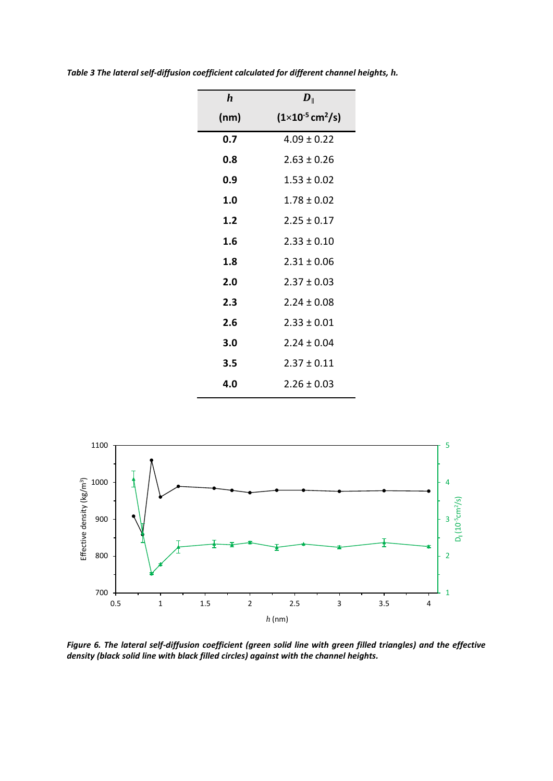| $\bm{h}$ | $\bm{D}_{\parallel}$                  |
|----------|---------------------------------------|
| (nm)     | $(1\times10^{-5}$ cm <sup>2</sup> /s) |
| 0.7      | $4.09 \pm 0.22$                       |
| 0.8      | $2.63 \pm 0.26$                       |
| 0.9      | $1.53 \pm 0.02$                       |
| 1.0      | $1.78 \pm 0.02$                       |
| 1.2      | $2.25 \pm 0.17$                       |
| 1.6      | $2.33 \pm 0.10$                       |
| 1.8      | $2.31 \pm 0.06$                       |
| 2.0      | $2.37 \pm 0.03$                       |
| 2.3      | $2.24 \pm 0.08$                       |
| 2.6      | $2.33 \pm 0.01$                       |
| 3.0      | $2.24 \pm 0.04$                       |
| 3.5      | $2.37 \pm 0.11$                       |
| 4.0      | $2.26 \pm 0.03$                       |

*Table 3 The lateral self-diffusion coefficient calculated for different channel heights, h.* 



*Figure 6. The lateral self-diffusion coefficient (green solid line with green filled triangles) and the effective density (black solid line with black filled circles) against with the channel heights.*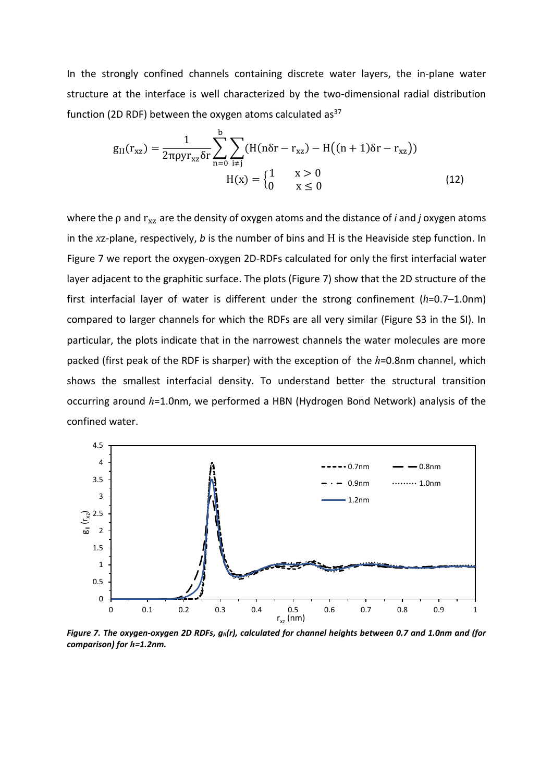In the strongly confined channels containing discrete water layers, the in-plane water structure at the interface is well characterized by the two-dimensional radial distribution function (2D RDF) between the oxygen atoms calculated as $37$ 

$$
g_{II}(r_{xz}) = \frac{1}{2\pi\rho y r_{xz} \delta r} \sum_{n=0}^{b} \sum_{i \neq j} (H(n\delta r - r_{xz}) - H((n+1)\delta r - r_{xz}))
$$
  
 
$$
H(x) = \begin{cases} 1 & x > 0 \\ 0 & x \leq 0 \end{cases}
$$
 (12)

where the *ρ* and  $r_{xz}$  are the density of oxygen atoms and the distance of *i* and *j* oxygen atoms in the *x*z-plane, respectively, *b* is the number of bins and H is the Heaviside step function. In Figure 7 we report the oxygen-oxygen 2D-RDFs calculated for only the first interfacial water layer adjacent to the graphitic surface. The plots (Figure 7) show that the 2D structure of the first interfacial layer of water is different under the strong confinement (*h*=0.7–1.0nm) compared to larger channels for which the RDFs are all very similar (Figure S3 in the SI). In particular, the plots indicate that in the narrowest channels the water molecules are more packed (first peak of the RDF is sharper) with the exception of the *h*=0.8nm channel, which shows the smallest interfacial density. To understand better the structural transition occurring around *h*=1.0nm, we performed a HBN (Hydrogen Bond Network) analysis of the confined water.



*Figure 7. The oxygen-oxygen 2D RDFs, gII(r), calculated for channel heights between 0.7 and 1.0nm and (for comparison) for h=1.2nm.*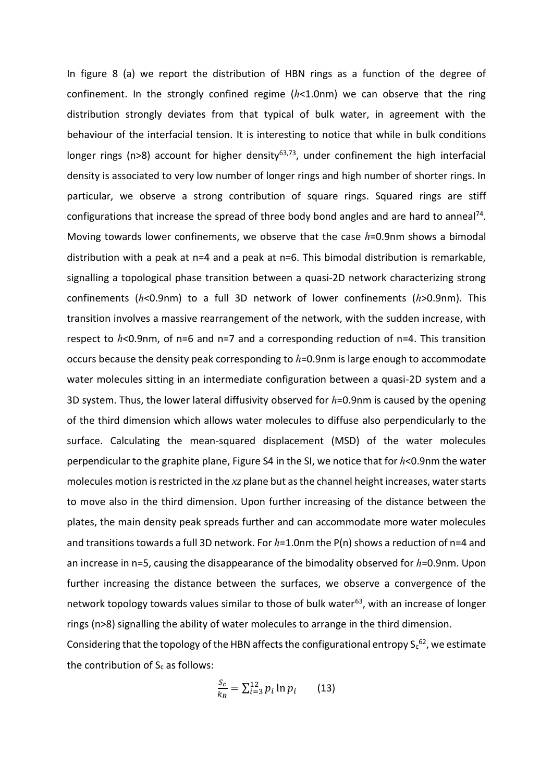In figure 8 (a) we report the distribution of HBN rings as a function of the degree of confinement. In the strongly confined regime (*h*<1.0nm) we can observe that the ring distribution strongly deviates from that typical of bulk water, in agreement with the behaviour of the interfacial tension. It is interesting to notice that while in bulk conditions longer rings (n>8) account for higher density<sup>63,73</sup>, under confinement the high interfacial density is associated to very low number of longer rings and high number of shorter rings. In particular, we observe a strong contribution of square rings. Squared rings are stiff configurations that increase the spread of three body bond angles and are hard to anneal<sup>74</sup>. Moving towards lower confinements, we observe that the case *h*=0.9nm shows a bimodal distribution with a peak at n=4 and a peak at n=6. This bimodal distribution is remarkable, signalling a topological phase transition between a quasi-2D network characterizing strong confinements (*h*<0.9nm) to a full 3D network of lower confinements (*h*>0.9nm). This transition involves a massive rearrangement of the network, with the sudden increase, with respect to *h*<0.9nm, of n=6 and n=7 and a corresponding reduction of n=4. This transition occurs because the density peak corresponding to *h*=0.9nm is large enough to accommodate water molecules sitting in an intermediate configuration between a quasi-2D system and a 3D system. Thus, the lower lateral diffusivity observed for *h*=0.9nm is caused by the opening of the third dimension which allows water molecules to diffuse also perpendicularly to the surface. Calculating the mean-squared displacement (MSD) of the water molecules perpendicular to the graphite plane, Figure S4 in the SI, we notice that for *h*<0.9nm the water molecules motion is restricted in the *xz* plane but as the channel height increases, water starts to move also in the third dimension. Upon further increasing of the distance between the plates, the main density peak spreads further and can accommodate more water molecules and transitions towards a full 3D network. For  $h=1.0$ nm the P(n) shows a reduction of n=4 and an increase in n=5, causing the disappearance of the bimodality observed for *h*=0.9nm. Upon further increasing the distance between the surfaces, we observe a convergence of the network topology towards values similar to those of bulk water $63$ , with an increase of longer rings (n>8) signalling the ability of water molecules to arrange in the third dimension. Considering that the topology of the HBN affects the configurational entropy  $S_c^{62}$ , we estimate the contribution of  $S_c$  as follows:

$$
\frac{S_c}{k_B} = \sum_{i=3}^{12} p_i \ln p_i \qquad (13)
$$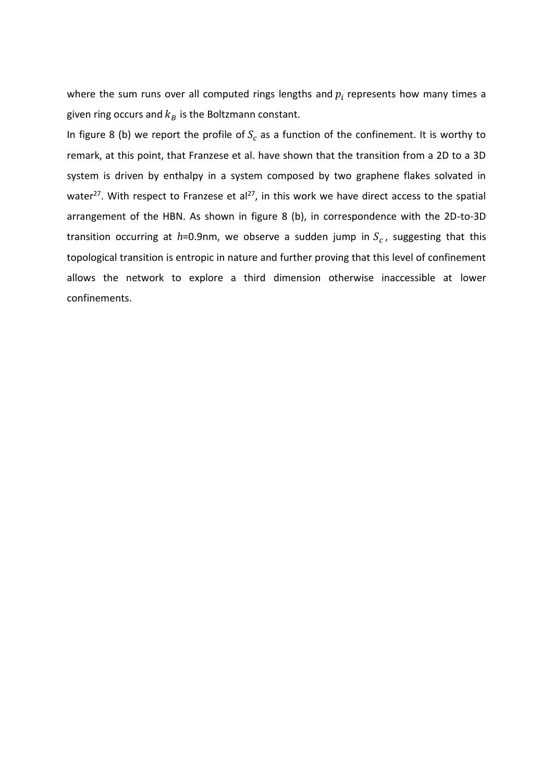where the sum runs over all computed rings lengths and  $p_i$  represents how many times a given ring occurs and  $k_B$  is the Boltzmann constant.

In figure 8 (b) we report the profile of  $S_c$  as a function of the confinement. It is worthy to remark, at this point, that Franzese et al. have shown that the transition from a 2D to a 3D system is driven by enthalpy in a system composed by two graphene flakes solvated in water<sup>27</sup>. With respect to Franzese et al<sup>27</sup>, in this work we have direct access to the spatial arrangement of the HBN. As shown in figure 8 (b), in correspondence with the 2D-to-3D transition occurring at  $h$ =0.9nm, we observe a sudden jump in  $S_c$ , suggesting that this topological transition is entropic in nature and further proving that this level of confinement allows the network to explore a third dimension otherwise inaccessible at lower confinements.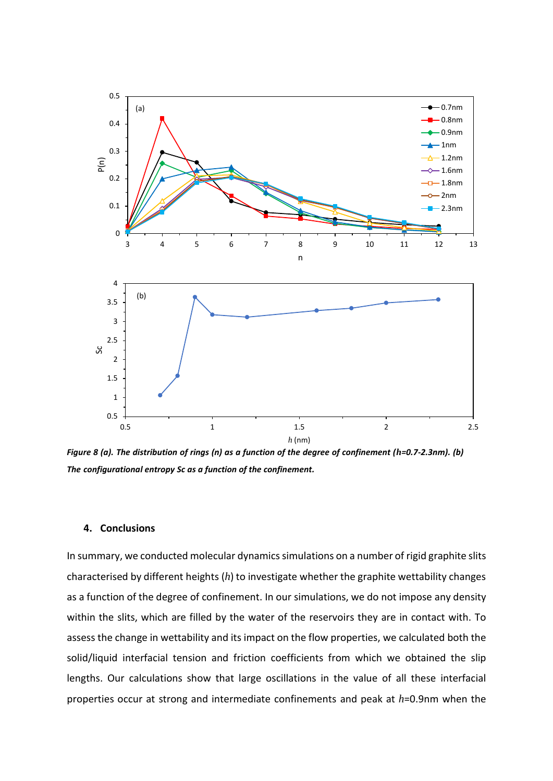

*Figure 8 (a). The distribution of rings (n) as a function of the degree of confinement (h=0.7-2.3nm). (b) The configurational entropy Sc as a function of the confinement.*

# **4. Conclusions**

In summary, we conducted molecular dynamics simulations on a number of rigid graphite slits characterised by different heights (*h*) to investigate whether the graphite wettability changes as a function of the degree of confinement. In our simulations, we do not impose any density within the slits, which are filled by the water of the reservoirs they are in contact with. To assess the change in wettability and its impact on the flow properties, we calculated both the solid/liquid interfacial tension and friction coefficients from which we obtained the slip lengths. Our calculations show that large oscillations in the value of all these interfacial properties occur at strong and intermediate confinements and peak at *h*=0.9nm when the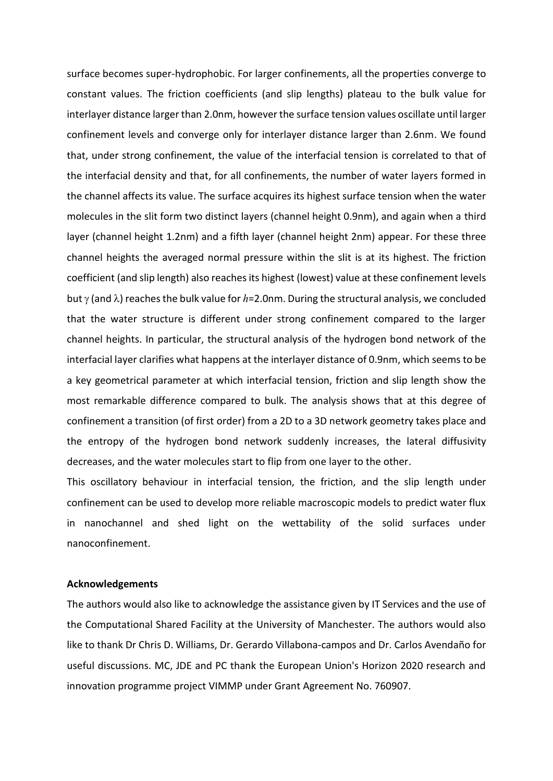surface becomes super-hydrophobic. For larger confinements, all the properties converge to constant values. The friction coefficients (and slip lengths) plateau to the bulk value for interlayer distance larger than 2.0nm, however the surface tension values oscillate until larger confinement levels and converge only for interlayer distance larger than 2.6nm. We found that, under strong confinement, the value of the interfacial tension is correlated to that of the interfacial density and that, for all confinements, the number of water layers formed in the channel affects its value. The surface acquires its highest surface tension when the water molecules in the slit form two distinct layers (channel height 0.9nm), and again when a third layer (channel height 1.2nm) and a fifth layer (channel height 2nm) appear. For these three channel heights the averaged normal pressure within the slit is at its highest. The friction coefficient (and slip length) also reaches its highest (lowest) value at these confinement levels but  $\gamma$  (and  $\lambda$ ) reaches the bulk value for *h*=2.0nm. During the structural analysis, we concluded that the water structure is different under strong confinement compared to the larger channel heights. In particular, the structural analysis of the hydrogen bond network of the interfacial layer clarifies what happens at the interlayer distance of 0.9nm, which seems to be a key geometrical parameter at which interfacial tension, friction and slip length show the most remarkable difference compared to bulk. The analysis shows that at this degree of confinement a transition (of first order) from a 2D to a 3D network geometry takes place and the entropy of the hydrogen bond network suddenly increases, the lateral diffusivity decreases, and the water molecules start to flip from one layer to the other.

This oscillatory behaviour in interfacial tension, the friction, and the slip length under confinement can be used to develop more reliable macroscopic models to predict water flux in nanochannel and shed light on the wettability of the solid surfaces under nanoconfinement.

# **Acknowledgements**

The authors would also like to acknowledge the assistance given by IT Services and the use of the Computational Shared Facility at the University of Manchester. The authors would also like to thank Dr Chris D. Williams, Dr. Gerardo Villabona-campos and Dr. Carlos Avendaño for useful discussions. MC, JDE and PC thank the European Union's Horizon 2020 research and innovation programme project VIMMP under Grant Agreement No. 760907.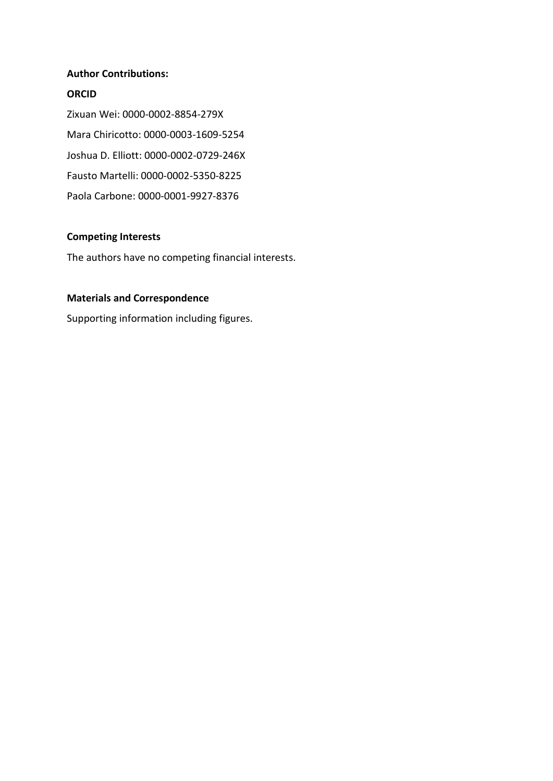# **Author Contributions:**

# **ORCID**

Zixuan Wei: 0000-0002-8854-279X Mara Chiricotto: 0000-0003-1609-5254 Joshua D. Elliott: 0000-0002-0729-246X Fausto Martelli: 0000-0002-5350-8225 Paola Carbone: 0000-0001-9927-8376

# **Competing Interests**

The authors have no competing financial interests.

# **Materials and Correspondence**

Supporting information including figures.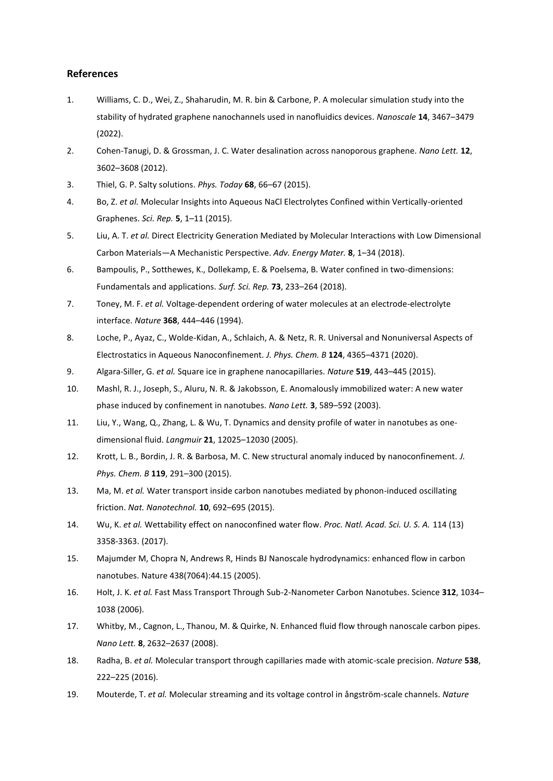#### **References**

- 1. Williams, C. D., Wei, Z., Shaharudin, M. R. bin & Carbone, P. A molecular simulation study into the stability of hydrated graphene nanochannels used in nanofluidics devices. *Nanoscale* **14**, 3467–3479 (2022).
- 2. Cohen-Tanugi, D. & Grossman, J. C. Water desalination across nanoporous graphene. *Nano Lett.* **12**, 3602–3608 (2012).
- 3. Thiel, G. P. Salty solutions. *Phys. Today* **68**, 66–67 (2015).
- 4. Bo, Z. *et al.* Molecular Insights into Aqueous NaCl Electrolytes Confined within Vertically-oriented Graphenes. *Sci. Rep.* **5**, 1–11 (2015).
- 5. Liu, A. T. *et al.* Direct Electricity Generation Mediated by Molecular Interactions with Low Dimensional Carbon Materials—A Mechanistic Perspective. *Adv. Energy Mater.* **8**, 1–34 (2018).
- 6. Bampoulis, P., Sotthewes, K., Dollekamp, E. & Poelsema, B. Water confined in two-dimensions: Fundamentals and applications. *Surf. Sci. Rep.* **73**, 233–264 (2018).
- 7. Toney, M. F. *et al.* Voltage-dependent ordering of water molecules at an electrode-electrolyte interface. *Nature* **368**, 444–446 (1994).
- 8. Loche, P., Ayaz, C., Wolde-Kidan, A., Schlaich, A. & Netz, R. R. Universal and Nonuniversal Aspects of Electrostatics in Aqueous Nanoconfinement. *J. Phys. Chem. B* **124**, 4365–4371 (2020).
- 9. Algara-Siller, G. *et al.* Square ice in graphene nanocapillaries. *Nature* **519**, 443–445 (2015).
- 10. Mashl, R. J., Joseph, S., Aluru, N. R. & Jakobsson, E. Anomalously immobilized water: A new water phase induced by confinement in nanotubes. *Nano Lett.* **3**, 589–592 (2003).
- 11. Liu, Y., Wang, Q., Zhang, L. & Wu, T. Dynamics and density profile of water in nanotubes as onedimensional fluid. *Langmuir* **21**, 12025–12030 (2005).
- 12. Krott, L. B., Bordin, J. R. & Barbosa, M. C. New structural anomaly induced by nanoconfinement. *J. Phys. Chem. B* **119**, 291–300 (2015).
- 13. Ma, M. *et al.* Water transport inside carbon nanotubes mediated by phonon-induced oscillating friction. *Nat. Nanotechnol.* **10**, 692–695 (2015).
- 14. Wu, K. *et al.* Wettability effect on nanoconfined water flow. *Proc. Natl. Acad. Sci. U. S. A.* 114 (13) 3358-3363. (2017).
- 15. Majumder M, Chopra N, Andrews R, Hinds BJ Nanoscale hydrodynamics: enhanced flow in carbon nanotubes. Nature 438(7064):44.15 (2005).
- 16. Holt, J. K. *et al.* Fast Mass Transport Through Sub-2-Nanometer Carbon Nanotubes. Science **312**, 1034– 1038 (2006).
- 17. Whitby, M., Cagnon, L., Thanou, M. & Quirke, N. Enhanced fluid flow through nanoscale carbon pipes. *Nano Lett.* **8**, 2632–2637 (2008).
- 18. Radha, B. *et al.* Molecular transport through capillaries made with atomic-scale precision. *Nature* **538**, 222–225 (2016).
- 19. Mouterde, T. *et al.* Molecular streaming and its voltage control in ångström-scale channels. *Nature*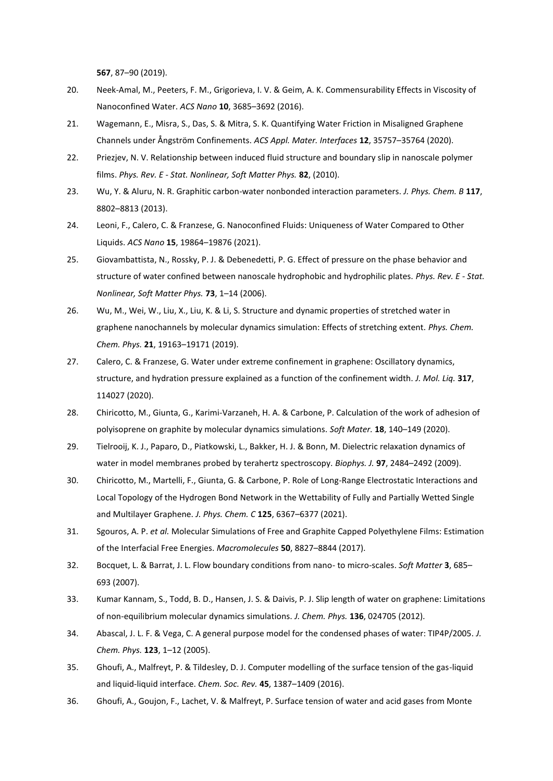**567**, 87–90 (2019).

- 20. Neek-Amal, M., Peeters, F. M., Grigorieva, I. V. & Geim, A. K. Commensurability Effects in Viscosity of Nanoconfined Water. *ACS Nano* **10**, 3685–3692 (2016).
- 21. Wagemann, E., Misra, S., Das, S. & Mitra, S. K. Quantifying Water Friction in Misaligned Graphene Channels under Ångström Confinements. *ACS Appl. Mater. Interfaces* **12**, 35757–35764 (2020).
- 22. Priezjev, N. V. Relationship between induced fluid structure and boundary slip in nanoscale polymer films. *Phys. Rev. E - Stat. Nonlinear, Soft Matter Phys.* **82**, (2010).
- 23. Wu, Y. & Aluru, N. R. Graphitic carbon-water nonbonded interaction parameters. *J. Phys. Chem. B* **117**, 8802–8813 (2013).
- 24. Leoni, F., Calero, C. & Franzese, G. Nanoconfined Fluids: Uniqueness of Water Compared to Other Liquids. *ACS Nano* **15**, 19864–19876 (2021).
- 25. Giovambattista, N., Rossky, P. J. & Debenedetti, P. G. Effect of pressure on the phase behavior and structure of water confined between nanoscale hydrophobic and hydrophilic plates. *Phys. Rev. E - Stat. Nonlinear, Soft Matter Phys.* **73**, 1–14 (2006).
- 26. Wu, M., Wei, W., Liu, X., Liu, K. & Li, S. Structure and dynamic properties of stretched water in graphene nanochannels by molecular dynamics simulation: Effects of stretching extent. *Phys. Chem. Chem. Phys.* **21**, 19163–19171 (2019).
- 27. Calero, C. & Franzese, G. Water under extreme confinement in graphene: Oscillatory dynamics, structure, and hydration pressure explained as a function of the confinement width. *J. Mol. Liq.* **317**, 114027 (2020).
- 28. Chiricotto, M., Giunta, G., Karimi-Varzaneh, H. A. & Carbone, P. Calculation of the work of adhesion of polyisoprene on graphite by molecular dynamics simulations. *Soft Mater.* **18**, 140–149 (2020).
- 29. Tielrooij, K. J., Paparo, D., Piatkowski, L., Bakker, H. J. & Bonn, M. Dielectric relaxation dynamics of water in model membranes probed by terahertz spectroscopy. *Biophys. J.* **97**, 2484–2492 (2009).
- 30. Chiricotto, M., Martelli, F., Giunta, G. & Carbone, P. Role of Long-Range Electrostatic Interactions and Local Topology of the Hydrogen Bond Network in the Wettability of Fully and Partially Wetted Single and Multilayer Graphene. *J. Phys. Chem. C* **125**, 6367–6377 (2021).
- 31. Sgouros, A. P. *et al.* Molecular Simulations of Free and Graphite Capped Polyethylene Films: Estimation of the Interfacial Free Energies. *Macromolecules* **50**, 8827–8844 (2017).
- 32. Bocquet, L. & Barrat, J. L. Flow boundary conditions from nano- to micro-scales. *Soft Matter* **3**, 685– 693 (2007).
- 33. Kumar Kannam, S., Todd, B. D., Hansen, J. S. & Daivis, P. J. Slip length of water on graphene: Limitations of non-equilibrium molecular dynamics simulations. *J. Chem. Phys.* **136**, 024705 (2012).
- 34. Abascal, J. L. F. & Vega, C. A general purpose model for the condensed phases of water: TIP4P/2005. *J. Chem. Phys.* **123**, 1–12 (2005).
- 35. Ghoufi, A., Malfreyt, P. & Tildesley, D. J. Computer modelling of the surface tension of the gas-liquid and liquid-liquid interface. *Chem. Soc. Rev.* **45**, 1387–1409 (2016).
- 36. Ghoufi, A., Goujon, F., Lachet, V. & Malfreyt, P. Surface tension of water and acid gases from Monte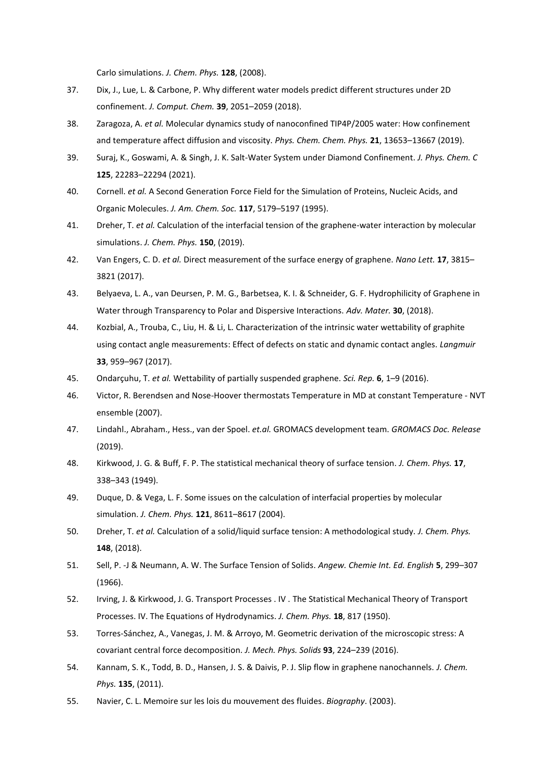Carlo simulations. *J. Chem. Phys.* **128**, (2008).

- 37. Dix, J., Lue, L. & Carbone, P. Why different water models predict different structures under 2D confinement. *J. Comput. Chem.* **39**, 2051–2059 (2018).
- 38. Zaragoza, A. *et al.* Molecular dynamics study of nanoconfined TIP4P/2005 water: How confinement and temperature affect diffusion and viscosity. *Phys. Chem. Chem. Phys.* **21**, 13653–13667 (2019).
- 39. Suraj, K., Goswami, A. & Singh, J. K. Salt-Water System under Diamond Confinement. *J. Phys. Chem. C* **125**, 22283–22294 (2021).
- 40. Cornell. *et al.* A Second Generation Force Field for the Simulation of Proteins, Nucleic Acids, and Organic Molecules. *J. Am. Chem. Soc.* **117**, 5179–5197 (1995).
- 41. Dreher, T. *et al.* Calculation of the interfacial tension of the graphene-water interaction by molecular simulations. *J. Chem. Phys.* **150**, (2019).
- 42. Van Engers, C. D. *et al.* Direct measurement of the surface energy of graphene. *Nano Lett.* **17**, 3815– 3821 (2017).
- 43. Belyaeva, L. A., van Deursen, P. M. G., Barbetsea, K. I. & Schneider, G. F. Hydrophilicity of Graphene in Water through Transparency to Polar and Dispersive Interactions. *Adv. Mater.* **30**, (2018).
- 44. Kozbial, A., Trouba, C., Liu, H. & Li, L. Characterization of the intrinsic water wettability of graphite using contact angle measurements: Effect of defects on static and dynamic contact angles. *Langmuir* **33**, 959–967 (2017).
- 45. Ondarçuhu, T. *et al.* Wettability of partially suspended graphene. *Sci. Rep.* **6**, 1–9 (2016).
- 46. Victor, R. Berendsen and Nose-Hoover thermostats Temperature in MD at constant Temperature NVT ensemble (2007).
- 47. Lindahl., Abraham., Hess., van der Spoel. *et.al.* GROMACS development team. *GROMACS Doc. Release* (2019).
- 48. Kirkwood, J. G. & Buff, F. P. The statistical mechanical theory of surface tension. *J. Chem. Phys.* **17**, 338–343 (1949).
- 49. Duque, D. & Vega, L. F. Some issues on the calculation of interfacial properties by molecular simulation. *J. Chem. Phys.* **121**, 8611–8617 (2004).
- 50. Dreher, T. *et al.* Calculation of a solid/liquid surface tension: A methodological study. *J. Chem. Phys.* **148**, (2018).
- 51. Sell, P. ‐J & Neumann, A. W. The Surface Tension of Solids. *Angew. Chemie Int. Ed. English* **5**, 299–307 (1966).
- 52. Irving, J. & Kirkwood, J. G. Transport Processes . IV . The Statistical Mechanical Theory of Transport Processes. IV. The Equations of Hydrodynamics. *J. Chem. Phys.* **18**, 817 (1950).
- 53. Torres-Sánchez, A., Vanegas, J. M. & Arroyo, M. Geometric derivation of the microscopic stress: A covariant central force decomposition. *J. Mech. Phys. Solids* **93**, 224–239 (2016).
- 54. Kannam, S. K., Todd, B. D., Hansen, J. S. & Daivis, P. J. Slip flow in graphene nanochannels. *J. Chem. Phys.* **135**, (2011).
- 55. Navier, C. L. Memoire sur les lois du mouvement des fluides. *Biography*. (2003).